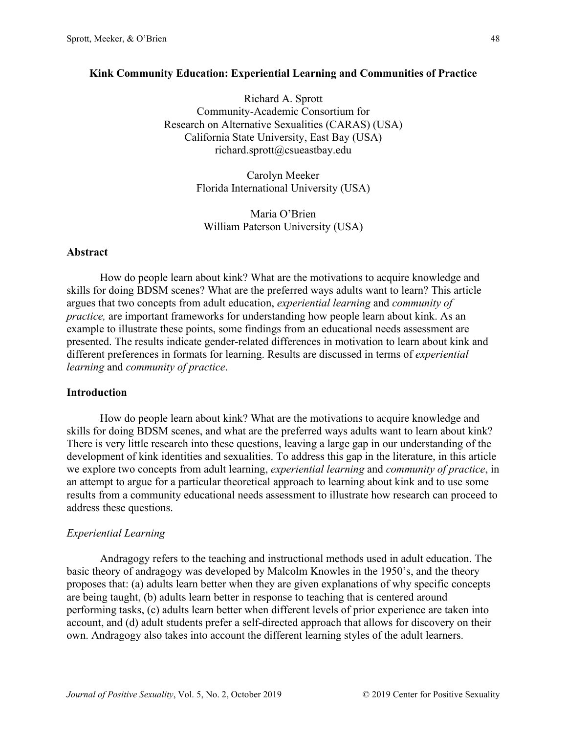# **Kink Community Education: Experiential Learning and Communities of Practice**

Richard A. Sprott Community-Academic Consortium for Research on Alternative Sexualities (CARAS) (USA) California State University, East Bay (USA) richard.sprott@csueastbay.edu

> Carolyn Meeker Florida International University (USA)

Maria O'Brien William Paterson University (USA)

#### **Abstract**

How do people learn about kink? What are the motivations to acquire knowledge and skills for doing BDSM scenes? What are the preferred ways adults want to learn? This article argues that two concepts from adult education, *experiential learning* and *community of practice,* are important frameworks for understanding how people learn about kink. As an example to illustrate these points, some findings from an educational needs assessment are presented. The results indicate gender-related differences in motivation to learn about kink and different preferences in formats for learning. Results are discussed in terms of *experiential learning* and *community of practice*.

# **Introduction**

How do people learn about kink? What are the motivations to acquire knowledge and skills for doing BDSM scenes, and what are the preferred ways adults want to learn about kink? There is very little research into these questions, leaving a large gap in our understanding of the development of kink identities and sexualities. To address this gap in the literature, in this article we explore two concepts from adult learning, *experiential learning* and *community of practice*, in an attempt to argue for a particular theoretical approach to learning about kink and to use some results from a community educational needs assessment to illustrate how research can proceed to address these questions.

### *Experiential Learning*

Andragogy refers to the teaching and instructional methods used in adult education. The basic theory of andragogy was developed by Malcolm Knowles in the 1950's, and the theory proposes that: (a) adults learn better when they are given explanations of why specific concepts are being taught, (b) adults learn better in response to teaching that is centered around performing tasks, (c) adults learn better when different levels of prior experience are taken into account, and (d) adult students prefer a self-directed approach that allows for discovery on their own. Andragogy also takes into account the different learning styles of the adult learners.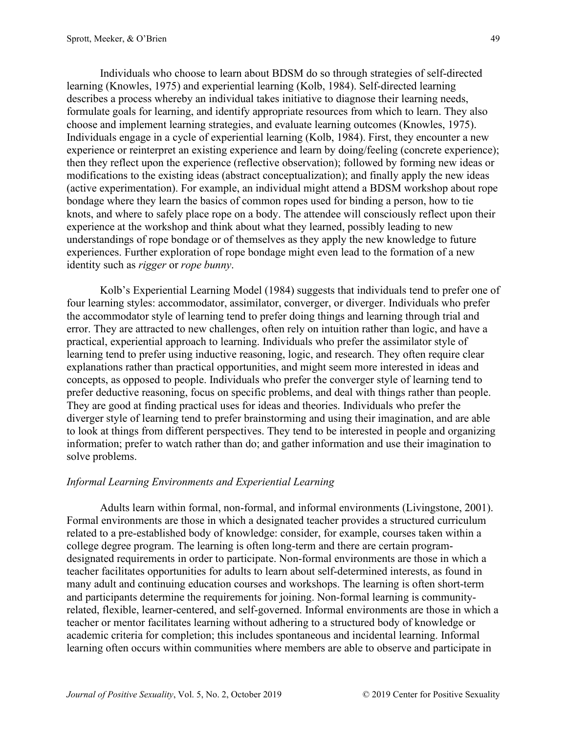Individuals who choose to learn about BDSM do so through strategies of self-directed learning (Knowles, 1975) and experiential learning (Kolb, 1984). Self-directed learning describes a process whereby an individual takes initiative to diagnose their learning needs, formulate goals for learning, and identify appropriate resources from which to learn. They also choose and implement learning strategies, and evaluate learning outcomes (Knowles, 1975). Individuals engage in a cycle of experiential learning (Kolb, 1984). First, they encounter a new experience or reinterpret an existing experience and learn by doing/feeling (concrete experience); then they reflect upon the experience (reflective observation); followed by forming new ideas or modifications to the existing ideas (abstract conceptualization); and finally apply the new ideas (active experimentation). For example, an individual might attend a BDSM workshop about rope bondage where they learn the basics of common ropes used for binding a person, how to tie knots, and where to safely place rope on a body. The attendee will consciously reflect upon their experience at the workshop and think about what they learned, possibly leading to new understandings of rope bondage or of themselves as they apply the new knowledge to future experiences. Further exploration of rope bondage might even lead to the formation of a new identity such as *rigger* or *rope bunny*.

Kolb's Experiential Learning Model (1984) suggests that individuals tend to prefer one of four learning styles: accommodator, assimilator, converger, or diverger. Individuals who prefer the accommodator style of learning tend to prefer doing things and learning through trial and error. They are attracted to new challenges, often rely on intuition rather than logic, and have a practical, experiential approach to learning. Individuals who prefer the assimilator style of learning tend to prefer using inductive reasoning, logic, and research. They often require clear explanations rather than practical opportunities, and might seem more interested in ideas and concepts, as opposed to people. Individuals who prefer the converger style of learning tend to prefer deductive reasoning, focus on specific problems, and deal with things rather than people. They are good at finding practical uses for ideas and theories. Individuals who prefer the diverger style of learning tend to prefer brainstorming and using their imagination, and are able to look at things from different perspectives. They tend to be interested in people and organizing information; prefer to watch rather than do; and gather information and use their imagination to solve problems.

# *Informal Learning Environments and Experiential Learning*

Adults learn within formal, non-formal, and informal environments (Livingstone, 2001). Formal environments are those in which a designated teacher provides a structured curriculum related to a pre-established body of knowledge: consider, for example, courses taken within a college degree program. The learning is often long-term and there are certain programdesignated requirements in order to participate. Non-formal environments are those in which a teacher facilitates opportunities for adults to learn about self-determined interests, as found in many adult and continuing education courses and workshops. The learning is often short-term and participants determine the requirements for joining. Non-formal learning is communityrelated, flexible, learner-centered, and self-governed. Informal environments are those in which a teacher or mentor facilitates learning without adhering to a structured body of knowledge or academic criteria for completion; this includes spontaneous and incidental learning. Informal learning often occurs within communities where members are able to observe and participate in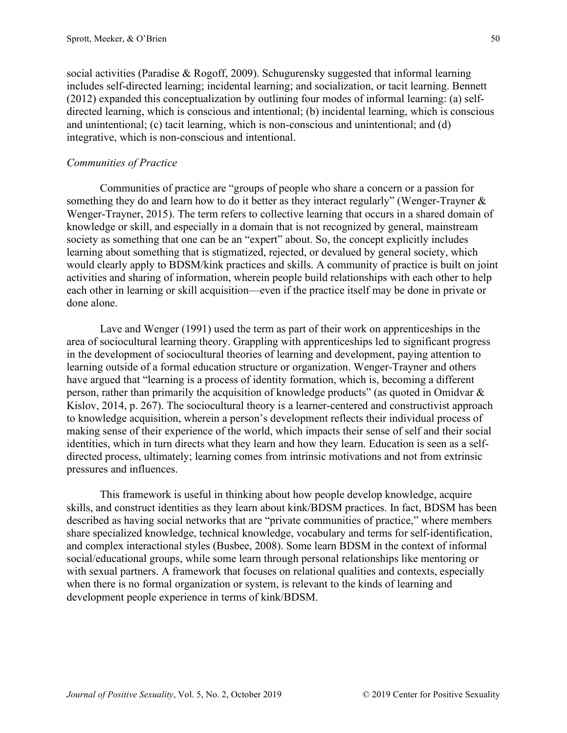social activities (Paradise & Rogoff, 2009). Schugurensky suggested that informal learning includes self-directed learning; incidental learning; and socialization, or tacit learning. Bennett (2012) expanded this conceptualization by outlining four modes of informal learning: (a) selfdirected learning, which is conscious and intentional; (b) incidental learning, which is conscious and unintentional; (c) tacit learning, which is non-conscious and unintentional; and (d) integrative, which is non-conscious and intentional.

# *Communities of Practice*

Communities of practice are "groups of people who share a concern or a passion for something they do and learn how to do it better as they interact regularly" (Wenger-Trayner  $\&$ Wenger-Trayner, 2015). The term refers to collective learning that occurs in a shared domain of knowledge or skill, and especially in a domain that is not recognized by general, mainstream society as something that one can be an "expert" about. So, the concept explicitly includes learning about something that is stigmatized, rejected, or devalued by general society, which would clearly apply to BDSM/kink practices and skills. A community of practice is built on joint activities and sharing of information, wherein people build relationships with each other to help each other in learning or skill acquisition—even if the practice itself may be done in private or done alone.

Lave and Wenger (1991) used the term as part of their work on apprenticeships in the area of sociocultural learning theory. Grappling with apprenticeships led to significant progress in the development of sociocultural theories of learning and development, paying attention to learning outside of a formal education structure or organization. Wenger-Trayner and others have argued that "learning is a process of identity formation, which is, becoming a different person, rather than primarily the acquisition of knowledge products" (as quoted in Omidvar  $\&$ Kislov, 2014, p. 267). The sociocultural theory is a learner-centered and constructivist approach to knowledge acquisition, wherein a person's development reflects their individual process of making sense of their experience of the world, which impacts their sense of self and their social identities, which in turn directs what they learn and how they learn. Education is seen as a selfdirected process, ultimately; learning comes from intrinsic motivations and not from extrinsic pressures and influences.

This framework is useful in thinking about how people develop knowledge, acquire skills, and construct identities as they learn about kink/BDSM practices. In fact, BDSM has been described as having social networks that are "private communities of practice," where members share specialized knowledge, technical knowledge, vocabulary and terms for self-identification, and complex interactional styles (Busbee, 2008). Some learn BDSM in the context of informal social/educational groups, while some learn through personal relationships like mentoring or with sexual partners. A framework that focuses on relational qualities and contexts, especially when there is no formal organization or system, is relevant to the kinds of learning and development people experience in terms of kink/BDSM.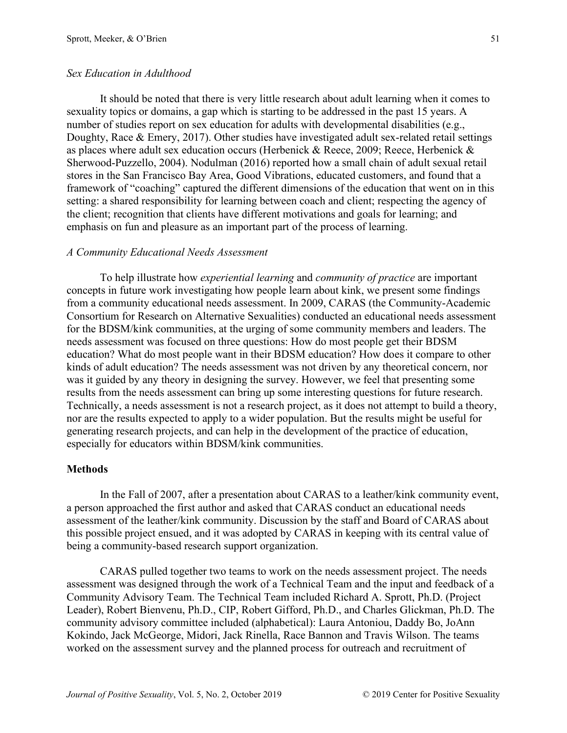### *Sex Education in Adulthood*

It should be noted that there is very little research about adult learning when it comes to sexuality topics or domains, a gap which is starting to be addressed in the past 15 years. A number of studies report on sex education for adults with developmental disabilities (e.g., Doughty, Race & Emery, 2017). Other studies have investigated adult sex-related retail settings as places where adult sex education occurs (Herbenick & Reece, 2009; Reece, Herbenick & Sherwood-Puzzello, 2004). Nodulman (2016) reported how a small chain of adult sexual retail stores in the San Francisco Bay Area, Good Vibrations, educated customers, and found that a framework of "coaching" captured the different dimensions of the education that went on in this setting: a shared responsibility for learning between coach and client; respecting the agency of the client; recognition that clients have different motivations and goals for learning; and emphasis on fun and pleasure as an important part of the process of learning.

#### *A Community Educational Needs Assessment*

To help illustrate how *experiential learning* and *community of practice* are important concepts in future work investigating how people learn about kink, we present some findings from a community educational needs assessment. In 2009, CARAS (the Community-Academic Consortium for Research on Alternative Sexualities) conducted an educational needs assessment for the BDSM/kink communities, at the urging of some community members and leaders. The needs assessment was focused on three questions: How do most people get their BDSM education? What do most people want in their BDSM education? How does it compare to other kinds of adult education? The needs assessment was not driven by any theoretical concern, nor was it guided by any theory in designing the survey. However, we feel that presenting some results from the needs assessment can bring up some interesting questions for future research. Technically, a needs assessment is not a research project, as it does not attempt to build a theory, nor are the results expected to apply to a wider population. But the results might be useful for generating research projects, and can help in the development of the practice of education, especially for educators within BDSM/kink communities.

#### **Methods**

In the Fall of 2007, after a presentation about CARAS to a leather/kink community event, a person approached the first author and asked that CARAS conduct an educational needs assessment of the leather/kink community. Discussion by the staff and Board of CARAS about this possible project ensued, and it was adopted by CARAS in keeping with its central value of being a community-based research support organization.

CARAS pulled together two teams to work on the needs assessment project. The needs assessment was designed through the work of a Technical Team and the input and feedback of a Community Advisory Team. The Technical Team included Richard A. Sprott, Ph.D. (Project Leader), Robert Bienvenu, Ph.D., CIP, Robert Gifford, Ph.D., and Charles Glickman, Ph.D. The community advisory committee included (alphabetical): Laura Antoniou, Daddy Bo, JoAnn Kokindo, Jack McGeorge, Midori, Jack Rinella, Race Bannon and Travis Wilson. The teams worked on the assessment survey and the planned process for outreach and recruitment of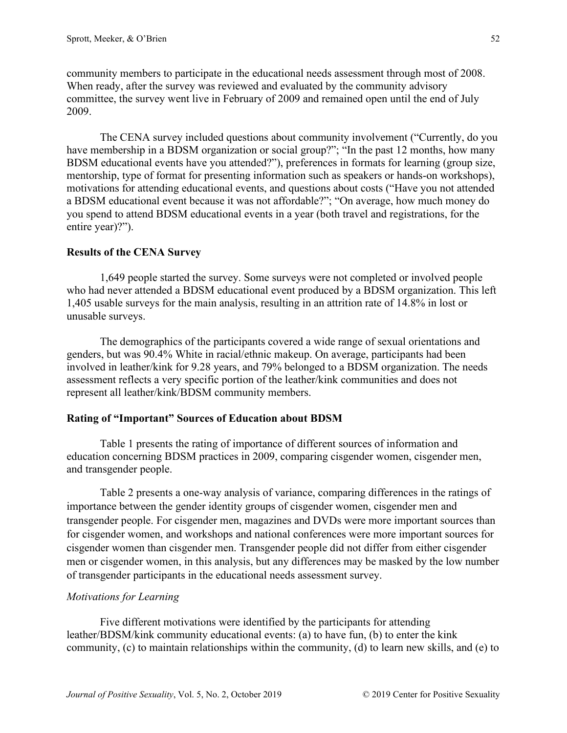community members to participate in the educational needs assessment through most of 2008. When ready, after the survey was reviewed and evaluated by the community advisory committee, the survey went live in February of 2009 and remained open until the end of July 2009.

The CENA survey included questions about community involvement ("Currently, do you have membership in a BDSM organization or social group?"; "In the past 12 months, how many BDSM educational events have you attended?"), preferences in formats for learning (group size, mentorship, type of format for presenting information such as speakers or hands-on workshops), motivations for attending educational events, and questions about costs ("Have you not attended a BDSM educational event because it was not affordable?"; "On average, how much money do you spend to attend BDSM educational events in a year (both travel and registrations, for the entire year)?").

# **Results of the CENA Survey**

1,649 people started the survey. Some surveys were not completed or involved people who had never attended a BDSM educational event produced by a BDSM organization. This left 1,405 usable surveys for the main analysis, resulting in an attrition rate of 14.8% in lost or unusable surveys.

The demographics of the participants covered a wide range of sexual orientations and genders, but was 90.4% White in racial/ethnic makeup. On average, participants had been involved in leather/kink for 9.28 years, and 79% belonged to a BDSM organization. The needs assessment reflects a very specific portion of the leather/kink communities and does not represent all leather/kink/BDSM community members.

### **Rating of "Important" Sources of Education about BDSM**

Table 1 presents the rating of importance of different sources of information and education concerning BDSM practices in 2009, comparing cisgender women, cisgender men, and transgender people.

Table 2 presents a one-way analysis of variance, comparing differences in the ratings of importance between the gender identity groups of cisgender women, cisgender men and transgender people. For cisgender men, magazines and DVDs were more important sources than for cisgender women, and workshops and national conferences were more important sources for cisgender women than cisgender men. Transgender people did not differ from either cisgender men or cisgender women, in this analysis, but any differences may be masked by the low number of transgender participants in the educational needs assessment survey.

# *Motivations for Learning*

Five different motivations were identified by the participants for attending leather/BDSM/kink community educational events: (a) to have fun, (b) to enter the kink community, (c) to maintain relationships within the community, (d) to learn new skills, and (e) to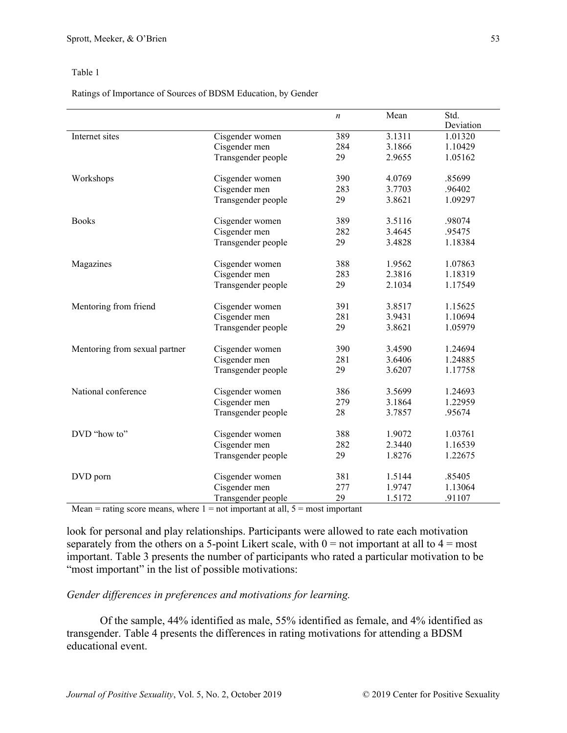Ratings of Importance of Sources of BDSM Education, by Gender

|                               |                    | $\boldsymbol{n}$ | Mean   | Std.      |
|-------------------------------|--------------------|------------------|--------|-----------|
|                               |                    |                  |        | Deviation |
| Internet sites                | Cisgender women    | 389              | 3.1311 | 1.01320   |
|                               | Cisgender men      | 284              | 3.1866 | 1.10429   |
|                               | Transgender people | 29               | 2.9655 | 1.05162   |
| Workshops                     | Cisgender women    | 390              | 4.0769 | .85699    |
|                               | Cisgender men      | 283              | 3.7703 | .96402    |
|                               | Transgender people | 29               | 3.8621 | 1.09297   |
| <b>Books</b>                  | Cisgender women    | 389              | 3.5116 | .98074    |
|                               | Cisgender men      | 282              | 3.4645 | .95475    |
|                               | Transgender people | 29               | 3.4828 | 1.18384   |
| Magazines                     | Cisgender women    | 388              | 1.9562 | 1.07863   |
|                               | Cisgender men      | 283              | 2.3816 | 1.18319   |
|                               | Transgender people | 29               | 2.1034 | 1.17549   |
| Mentoring from friend         | Cisgender women    | 391              | 3.8517 | 1.15625   |
|                               | Cisgender men      | 281              | 3.9431 | 1.10694   |
|                               | Transgender people | 29               | 3.8621 | 1.05979   |
| Mentoring from sexual partner | Cisgender women    | 390              | 3.4590 | 1.24694   |
|                               | Cisgender men      | 281              | 3.6406 | 1.24885   |
|                               | Transgender people | 29               | 3.6207 | 1.17758   |
| National conference           | Cisgender women    | 386              | 3.5699 | 1.24693   |
|                               | Cisgender men      | 279              | 3.1864 | 1.22959   |
|                               | Transgender people | 28               | 3.7857 | .95674    |
| DVD "how to"                  | Cisgender women    | 388              | 1.9072 | 1.03761   |
|                               | Cisgender men      | 282              | 2.3440 | 1.16539   |
|                               | Transgender people | 29               | 1.8276 | 1.22675   |
| DVD porn                      | Cisgender women    | 381              | 1.5144 | .85405    |
|                               | Cisgender men      | 277              | 1.9747 | 1.13064   |
|                               | Transgender people | 29               | 1.5172 | .91107    |

Mean  $=$  rating score means, where  $1 =$  not important at all,  $5 =$  most important

look for personal and play relationships. Participants were allowed to rate each motivation separately from the others on a 5-point Likert scale, with  $0 =$  not important at all to  $4 =$  most important. Table 3 presents the number of participants who rated a particular motivation to be "most important" in the list of possible motivations:

*Gender differences in preferences and motivations for learning.*

Of the sample, 44% identified as male, 55% identified as female, and 4% identified as transgender. Table 4 presents the differences in rating motivations for attending a BDSM educational event.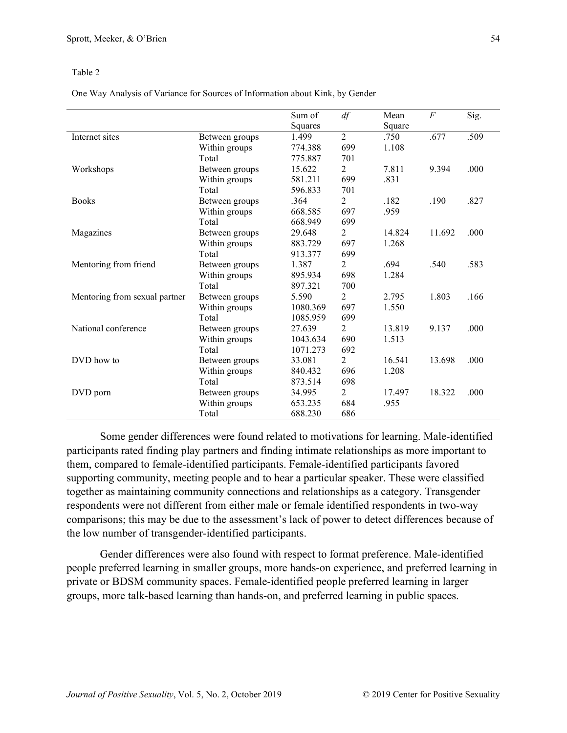One Way Analysis of Variance for Sources of Information about Kink, by Gender

|                               |                | Sum of   | df             | Mean   | $\boldsymbol{F}$ | Sig. |
|-------------------------------|----------------|----------|----------------|--------|------------------|------|
|                               |                | Squares  |                | Square |                  |      |
| Internet sites                | Between groups | 1.499    | $\overline{2}$ | .750   | .677             | .509 |
|                               | Within groups  | 774.388  | 699            | 1.108  |                  |      |
|                               | Total          | 775.887  | 701            |        |                  |      |
| Workshops                     | Between groups | 15.622   | $\overline{2}$ | 7.811  | 9.394            | .000 |
|                               | Within groups  | 581.211  | 699            | .831   |                  |      |
|                               | Total          | 596.833  | 701            |        |                  |      |
| <b>Books</b>                  | Between groups | .364     | 2              | .182   | .190             | .827 |
|                               | Within groups  | 668.585  | 697            | .959   |                  |      |
|                               | Total          | 668.949  | 699            |        |                  |      |
| Magazines                     | Between groups | 29.648   | $\overline{2}$ | 14.824 | 11.692           | .000 |
|                               | Within groups  | 883.729  | 697            | 1.268  |                  |      |
|                               | Total          | 913.377  | 699            |        |                  |      |
| Mentoring from friend         | Between groups | 1.387    | 2              | .694   | .540             | .583 |
|                               | Within groups  | 895.934  | 698            | 1.284  |                  |      |
|                               | Total          | 897.321  | 700            |        |                  |      |
| Mentoring from sexual partner | Between groups | 5.590    | 2              | 2.795  | 1.803            | .166 |
|                               | Within groups  | 1080.369 | 697            | 1.550  |                  |      |
|                               | Total          | 1085.959 | 699            |        |                  |      |
| National conference           | Between groups | 27.639   | $\overline{2}$ | 13.819 | 9.137            | .000 |
|                               | Within groups  | 1043.634 | 690            | 1.513  |                  |      |
|                               | Total          | 1071.273 | 692            |        |                  |      |
| DVD how to                    | Between groups | 33.081   | 2              | 16.541 | 13.698           | .000 |
|                               | Within groups  | 840.432  | 696            | 1.208  |                  |      |
|                               | Total          | 873.514  | 698            |        |                  |      |
| DVD porn                      | Between groups | 34.995   | 2              | 17.497 | 18.322           | .000 |
|                               | Within groups  | 653.235  | 684            | .955   |                  |      |
|                               | Total          | 688.230  | 686            |        |                  |      |

Some gender differences were found related to motivations for learning. Male-identified participants rated finding play partners and finding intimate relationships as more important to them, compared to female-identified participants. Female-identified participants favored supporting community, meeting people and to hear a particular speaker. These were classified together as maintaining community connections and relationships as a category. Transgender respondents were not different from either male or female identified respondents in two-way comparisons; this may be due to the assessment's lack of power to detect differences because of the low number of transgender-identified participants.

Gender differences were also found with respect to format preference. Male-identified people preferred learning in smaller groups, more hands-on experience, and preferred learning in private or BDSM community spaces. Female-identified people preferred learning in larger groups, more talk-based learning than hands-on, and preferred learning in public spaces.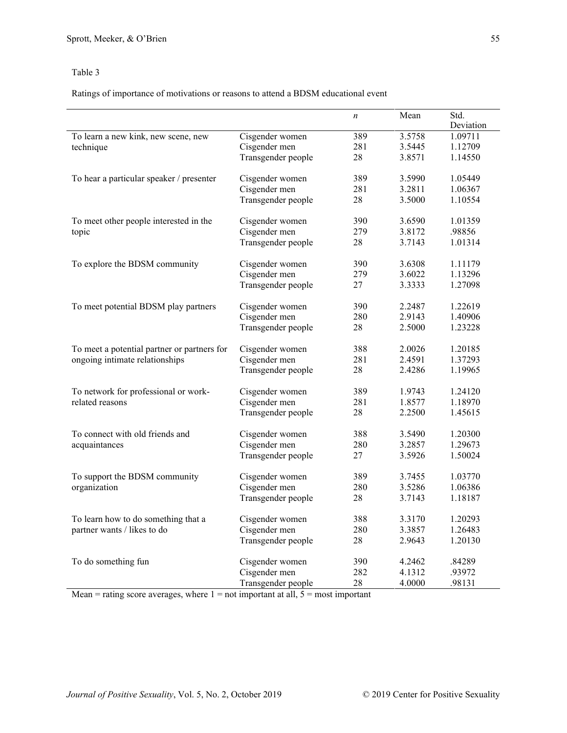Ratings of importance of motivations or reasons to attend a BDSM educational event

|                                             |                    | $\boldsymbol{n}$ | Mean   | Std.<br>Deviation |
|---------------------------------------------|--------------------|------------------|--------|-------------------|
| To learn a new kink, new scene, new         | Cisgender women    | 389              | 3.5758 | 1.09711           |
| technique                                   | Cisgender men      | 281              | 3.5445 | 1.12709           |
|                                             | Transgender people | 28               | 3.8571 | 1.14550           |
| To hear a particular speaker / presenter    | Cisgender women    | 389              | 3.5990 | 1.05449           |
|                                             | Cisgender men      | 281              | 3.2811 | 1.06367           |
|                                             | Transgender people | 28               | 3.5000 | 1.10554           |
| To meet other people interested in the      | Cisgender women    | 390              | 3.6590 | 1.01359           |
| topic                                       | Cisgender men      | 279              | 3.8172 | .98856            |
|                                             | Transgender people | 28               | 3.7143 | 1.01314           |
| To explore the BDSM community               | Cisgender women    | 390              | 3.6308 | 1.11179           |
|                                             | Cisgender men      | 279              | 3.6022 | 1.13296           |
|                                             | Transgender people | 27               | 3.3333 | 1.27098           |
| To meet potential BDSM play partners        | Cisgender women    | 390              | 2.2487 | 1.22619           |
|                                             | Cisgender men      | 280              | 2.9143 | 1.40906           |
|                                             | Transgender people | 28               | 2.5000 | 1.23228           |
| To meet a potential partner or partners for | Cisgender women    | 388              | 2.0026 | 1.20185           |
| ongoing intimate relationships              | Cisgender men      | 281              | 2.4591 | 1.37293           |
|                                             | Transgender people | 28               | 2.4286 | 1.19965           |
| To network for professional or work-        | Cisgender women    | 389              | 1.9743 | 1.24120           |
| related reasons                             | Cisgender men      | 281              | 1.8577 | 1.18970           |
|                                             | Transgender people | 28               | 2.2500 | 1.45615           |
| To connect with old friends and             | Cisgender women    | 388              | 3.5490 | 1.20300           |
| acquaintances                               | Cisgender men      | 280              | 3.2857 | 1.29673           |
|                                             | Transgender people | 27               | 3.5926 | 1.50024           |
| To support the BDSM community               | Cisgender women    | 389              | 3.7455 | 1.03770           |
| organization                                | Cisgender men      | 280              | 3.5286 | 1.06386           |
|                                             | Transgender people | 28               | 3.7143 | 1.18187           |
| To learn how to do something that a         | Cisgender women    | 388              | 3.3170 | 1.20293           |
| partner wants / likes to do                 | Cisgender men      | 280              | 3.3857 | 1.26483           |
|                                             | Transgender people | 28               | 2.9643 | 1.20130           |
| To do something fun                         | Cisgender women    | 390              | 4.2462 | .84289            |
|                                             | Cisgender men      | 282              | 4.1312 | .93972            |
|                                             | Transgender people | 28               | 4.0000 | .98131            |

Mean  $=$  rating score averages, where  $1 =$  not important at all,  $5 =$  most important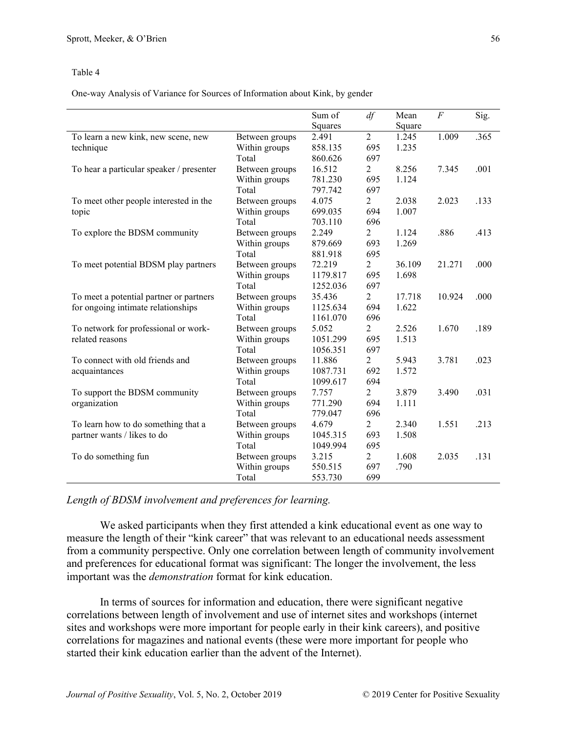One-way Analysis of Variance for Sources of Information about Kink, by gender

|                                          |                | Sum of   | df             | Mean   | $\boldsymbol{F}$ | Sig. |
|------------------------------------------|----------------|----------|----------------|--------|------------------|------|
|                                          |                | Squares  |                | Square |                  |      |
| To learn a new kink, new scene, new      | Between groups | 2.491    | $\overline{2}$ | 1.245  | 1.009            | .365 |
| technique                                | Within groups  | 858.135  | 695            | 1.235  |                  |      |
|                                          | Total          | 860.626  | 697            |        |                  |      |
| To hear a particular speaker / presenter | Between groups | 16.512   | 2              | 8.256  | 7.345            | .001 |
|                                          | Within groups  | 781.230  | 695            | 1.124  |                  |      |
|                                          | Total          | 797.742  | 697            |        |                  |      |
| To meet other people interested in the   | Between groups | 4.075    | 2              | 2.038  | 2.023            | .133 |
| topic                                    | Within groups  | 699.035  | 694            | 1.007  |                  |      |
|                                          | Total          | 703.110  | 696            |        |                  |      |
| To explore the BDSM community            | Between groups | 2.249    | 2              | 1.124  | .886             | .413 |
|                                          | Within groups  | 879.669  | 693            | 1.269  |                  |      |
|                                          | Total          | 881.918  | 695            |        |                  |      |
| To meet potential BDSM play partners     | Between groups | 72.219   | 2              | 36.109 | 21.271           | .000 |
|                                          | Within groups  | 1179.817 | 695            | 1.698  |                  |      |
|                                          | Total          | 1252.036 | 697            |        |                  |      |
| To meet a potential partner or partners  | Between groups | 35.436   | 2              | 17.718 | 10.924           | .000 |
| for ongoing intimate relationships       | Within groups  | 1125.634 | 694            | 1.622  |                  |      |
|                                          | Total          | 1161.070 | 696            |        |                  |      |
| To network for professional or work-     | Between groups | 5.052    | 2              | 2.526  | 1.670            | .189 |
| related reasons                          | Within groups  | 1051.299 | 695            | 1.513  |                  |      |
|                                          | Total          | 1056.351 | 697            |        |                  |      |
| To connect with old friends and          | Between groups | 11.886   | $\overline{2}$ | 5.943  | 3.781            | .023 |
| acquaintances                            | Within groups  | 1087.731 | 692            | 1.572  |                  |      |
|                                          | Total          | 1099.617 | 694            |        |                  |      |
| To support the BDSM community            | Between groups | 7.757    | 2              | 3.879  | 3.490            | .031 |
| organization                             | Within groups  | 771.290  | 694            | 1.111  |                  |      |
|                                          | Total          | 779.047  | 696            |        |                  |      |
| To learn how to do something that a      | Between groups | 4.679    | 2              | 2.340  | 1.551            | .213 |
| partner wants / likes to do              | Within groups  | 1045.315 | 693            | 1.508  |                  |      |
|                                          | Total          | 1049.994 | 695            |        |                  |      |
| To do something fun                      | Between groups | 3.215    | $\overline{2}$ | 1.608  | 2.035            | .131 |
|                                          | Within groups  | 550.515  | 697            | .790   |                  |      |
|                                          | Total          | 553.730  | 699            |        |                  |      |

### *Length of BDSM involvement and preferences for learning.*

We asked participants when they first attended a kink educational event as one way to measure the length of their "kink career" that was relevant to an educational needs assessment from a community perspective. Only one correlation between length of community involvement and preferences for educational format was significant: The longer the involvement, the less important was the *demonstration* format for kink education.

In terms of sources for information and education, there were significant negative correlations between length of involvement and use of internet sites and workshops (internet sites and workshops were more important for people early in their kink careers), and positive correlations for magazines and national events (these were more important for people who started their kink education earlier than the advent of the Internet).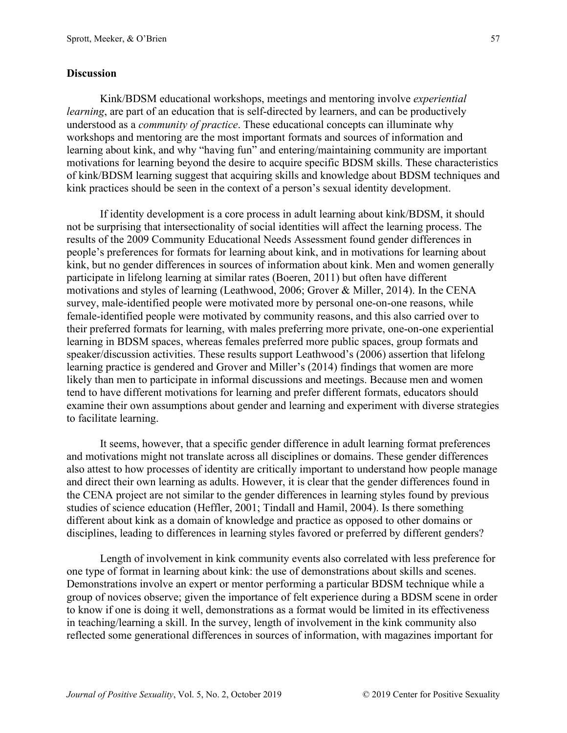### **Discussion**

Kink/BDSM educational workshops, meetings and mentoring involve *experiential learning*, are part of an education that is self-directed by learners, and can be productively understood as a *community of practice*. These educational concepts can illuminate why workshops and mentoring are the most important formats and sources of information and learning about kink, and why "having fun" and entering/maintaining community are important motivations for learning beyond the desire to acquire specific BDSM skills. These characteristics of kink/BDSM learning suggest that acquiring skills and knowledge about BDSM techniques and kink practices should be seen in the context of a person's sexual identity development.

If identity development is a core process in adult learning about kink/BDSM, it should not be surprising that intersectionality of social identities will affect the learning process. The results of the 2009 Community Educational Needs Assessment found gender differences in people's preferences for formats for learning about kink, and in motivations for learning about kink, but no gender differences in sources of information about kink. Men and women generally participate in lifelong learning at similar rates (Boeren, 2011) but often have different motivations and styles of learning (Leathwood, 2006; Grover & Miller, 2014). In the CENA survey, male-identified people were motivated more by personal one-on-one reasons, while female-identified people were motivated by community reasons, and this also carried over to their preferred formats for learning, with males preferring more private, one-on-one experiential learning in BDSM spaces, whereas females preferred more public spaces, group formats and speaker/discussion activities. These results support Leathwood's (2006) assertion that lifelong learning practice is gendered and Grover and Miller's (2014) findings that women are more likely than men to participate in informal discussions and meetings. Because men and women tend to have different motivations for learning and prefer different formats, educators should examine their own assumptions about gender and learning and experiment with diverse strategies to facilitate learning.

It seems, however, that a specific gender difference in adult learning format preferences and motivations might not translate across all disciplines or domains. These gender differences also attest to how processes of identity are critically important to understand how people manage and direct their own learning as adults. However, it is clear that the gender differences found in the CENA project are not similar to the gender differences in learning styles found by previous studies of science education (Heffler, 2001; Tindall and Hamil, 2004). Is there something different about kink as a domain of knowledge and practice as opposed to other domains or disciplines, leading to differences in learning styles favored or preferred by different genders?

Length of involvement in kink community events also correlated with less preference for one type of format in learning about kink: the use of demonstrations about skills and scenes. Demonstrations involve an expert or mentor performing a particular BDSM technique while a group of novices observe; given the importance of felt experience during a BDSM scene in order to know if one is doing it well, demonstrations as a format would be limited in its effectiveness in teaching/learning a skill. In the survey, length of involvement in the kink community also reflected some generational differences in sources of information, with magazines important for